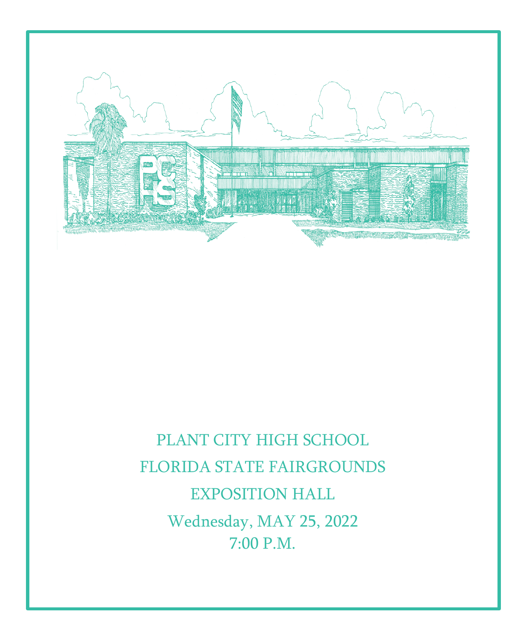

## PLANT CITY HIGH SCHOOL FLORIDA STATE FAIRGROUNDS EXPOSITION HALL Wednesday, MAY 25, 2022 7:00 P.M.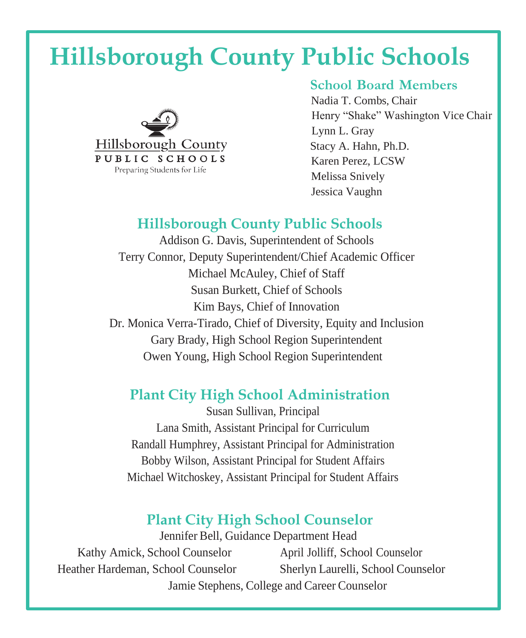# **Hillsborough County Public Schools**



#### **School Board Members**

 Nadia T. Combs, Chair Henry "Shake" Washington Vice Chair Lynn L. Gray Stacy A. Hahn, Ph.D. Karen Perez, LCSW Melissa Snively Jessica Vaughn

#### **Hillsborough County Public Schools**

Addison G. Davis, Superintendent of Schools Terry Connor, Deputy Superintendent/Chief Academic Officer Michael McAuley, Chief of Staff Susan Burkett, Chief of Schools Kim Bays, Chief of Innovation Dr. Monica Verra-Tirado, Chief of Diversity, Equity and Inclusion Gary Brady, High School Region Superintendent Owen Young, High School Region Superintendent

### **Plant City High School Administration**

Susan Sullivan, Principal Lana Smith, Assistant Principal for Curriculum Randall Humphrey, Assistant Principal for Administration Bobby Wilson, Assistant Principal for Student Affairs Michael Witchoskey, Assistant Principal for Student Affairs

### **Plant City High School Counselor**

Jennifer Bell, Guidance Department Head Kathy Amick, School Counselor April Jolliff, School Counselor Heather Hardeman, School Counselor Sherlyn Laurelli, School Counselor Jamie Stephens, College and Career Counselor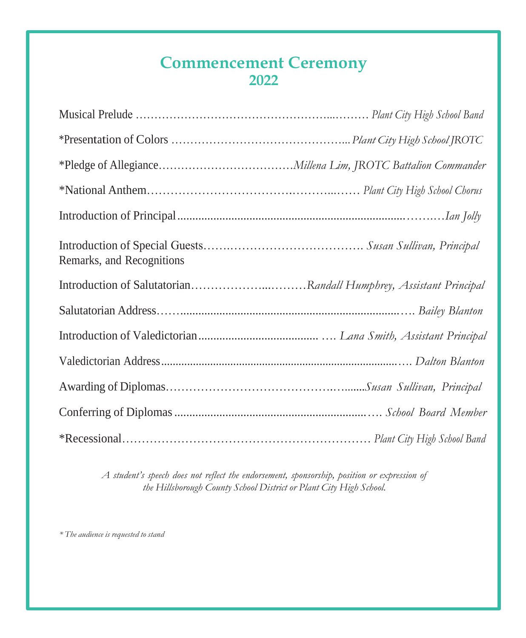## **Commencement Ceremony 2022**

| Remarks, and Recognitions |
|---------------------------|
|                           |
|                           |
|                           |
|                           |
|                           |
|                           |
|                           |

*A student's speech does not reflect the endorsement, sponsorship, position or expression of the Hillsborough County School District or Plant City High School.*

*\* The audience is requested tostand*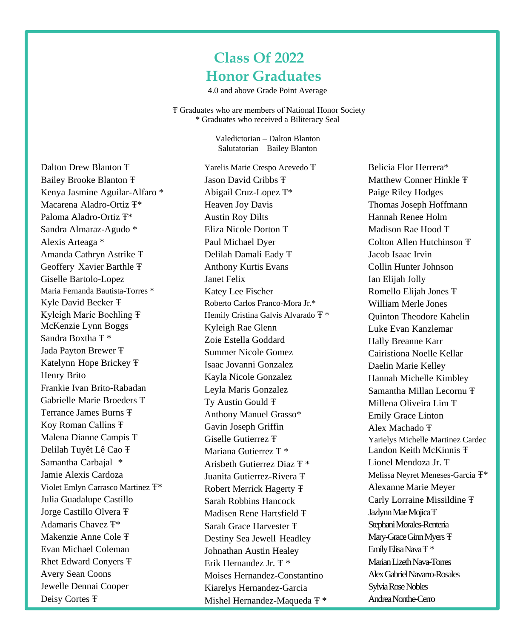## **Class Of 2022 Honor Graduates**

4.0 and above Grade Point Average

Ŧ Graduates who are members of National Honor Society \* Graduates who received a Biliteracy Seal

> Valedictorian – Dalton Blanton Salutatorian – Bailey Blanton

Dalton Drew Blanton Ŧ Bailey Brooke Blanton Ŧ Kenya Jasmine Aguilar-Alfaro \* Macarena Aladro-Ortiz Ŧ\* Paloma Aladro-Ortiz Ŧ\* Sandra Almaraz-Agudo \* Alexis Arteaga \* Amanda Cathryn Astrike Ŧ Geoffery Xavier Barthle Ŧ Giselle Bartolo-Lopez Maria Fernanda Bautista-Torres \* Kyle David Becker Ŧ Kyleigh Marie Boehling Ŧ McKenzie Lynn Boggs Sandra Boxtha Ŧ \* Jada Payton Brewer Ŧ Katelynn Hope Brickey Ŧ Henry Brito Frankie Ivan Brito-Rabadan Gabrielle Marie Broeders Ŧ Terrance James Burns Ŧ Koy Roman Callins Ŧ Malena Dianne Campis Ŧ Delilah Tuyêt Lê Cao Ŧ Samantha Carbajal \* Jamie Alexis Cardoza Violet Emlyn Carrasco Martinez Ŧ\* Julia Guadalupe Castillo Jorge Castillo Olvera Ŧ Adamaris Chavez Ŧ\* Makenzie Anne Cole Ŧ Evan Michael Coleman Rhet Edward Conyers Ŧ Avery Sean Coons Jewelle Dennai Cooper Deisy Cortes Ŧ

Yarelis Marie Crespo Acevedo Ŧ Jason David Cribbs Ŧ Abigail Cruz-Lopez Ŧ\* Heaven Joy Davis Austin Roy Dilts Eliza Nicole Dorton Ŧ Paul Michael Dyer Delilah Damali Eady Ŧ Anthony Kurtis Evans Janet Felix Katey Lee Fischer Roberto Carlos Franco-Mora Jr.\* Hemily Cristina Galvis Alvarado Ŧ \* Kyleigh Rae Glenn Zoie Estella Goddard Summer Nicole Gomez Isaac Jovanni Gonzalez Kayla Nicole Gonzalez Leyla Maris Gonzalez Ty Austin Gould Ŧ Anthony Manuel Grasso\* Gavin Joseph Griffin Giselle Gutierrez Ŧ Mariana Gutierrez Ŧ \* Arisbeth Gutierrez Diaz Ŧ \* Juanita Gutierrez-Rivera Ŧ Robert Merrick Hagerty Ŧ Sarah Robbins Hancock Madisen Rene Hartsfield Ŧ Sarah Grace Harvester Ŧ Destiny Sea Jewell Headley Johnathan Austin Healey Erik Hernandez Jr. Ŧ \* Moises Hernandez-Constantino Kiarelys Hernandez-Garcia Mishel Hernandez-Maqueda Ŧ \*

Belicia Flor Herrera\* Matthew Conner Hinkle Ŧ Paige Riley Hodges Thomas Joseph Hoffmann Hannah Renee Holm Madison Rae Hood Ŧ Colton Allen Hutchinson Ŧ Jacob Isaac Irvin Collin Hunter Johnson Ian Elijah Jolly Romello Elijah Jones Ŧ William Merle Jones Quinton Theodore Kahelin Luke Evan Kanzlemar Hally Breanne Karr Cairistiona Noelle Kellar Daelin Marie Kelley Hannah Michelle Kimbley Samantha Millan Lecornu Ŧ Millena Oliveira Lim Ŧ Emily Grace Linton Alex Machado Ŧ Yarielys Michelle Martinez Cardec Landon Keith McKinnis Ŧ Lionel Mendoza Jr. Ŧ Melissa Neyret Meneses-Garcia Ŧ\* Alexanne Marie Meyer Carly Lorraine Missildine Ŧ Jazlynn Mae Mojica <sub>T</sub> Stephani Morales-Renteria Mary-Grace Ginn Myers  $F$ Emily Elisa Nava <sub>T</sub> \* Marian Lizeth Nava-Torres Alex Gabriel Navarro-Rosales Sylvia Rose Nobles AndreaNonthe-Cerro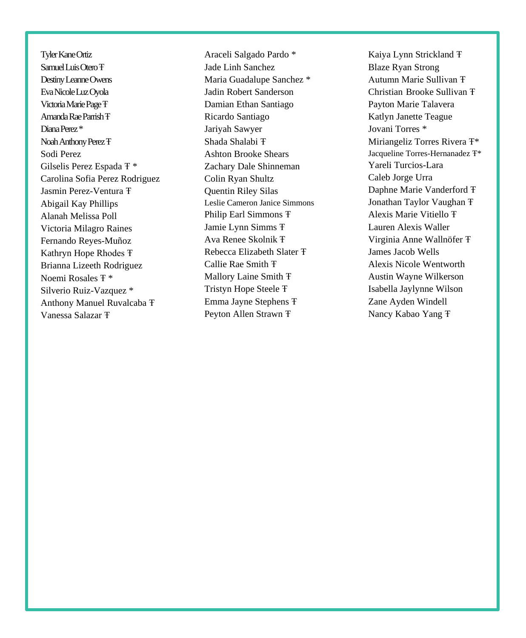Tyler Kane Ortiz Samuel Luis Otero <sub>T</sub> Destiny Leanne Owens EvaNicoleLuzOyola VictoriaMariePageŦ Amanda Rae Parrish **T** DianaPerez \* Noah Anthony Perez **T** Sodi Perez Gilselis Perez Espada Ŧ \* Carolina Sofia Perez Rodriguez Jasmin Perez-Ventura Ŧ Abigail Kay Phillips Alanah Melissa Poll Victoria Milagro Raines Fernando Reyes-Muñoz Kathryn Hope Rhodes Ŧ Brianna Lizeeth Rodriguez Noemi Rosales Ŧ \* Silverio Ruiz-Vazquez \* Anthony Manuel Ruvalcaba Ŧ Vanessa Salazar Ŧ

Araceli Salgado Pardo \* Jade Linh Sanchez Maria Guadalupe Sanchez \* Jadin Robert Sanderson Damian Ethan Santiago Ricardo Santiago Jariyah Sawyer Shada Shalabi Ŧ Ashton Brooke Shears Zachary Dale Shinneman Colin Ryan Shultz Quentin Riley Silas Leslie Cameron Janice Simmons Philip Earl Simmons Ŧ Jamie Lynn Simms Ŧ Ava Renee Skolnik Ŧ Rebecca Elizabeth Slater Ŧ Callie Rae Smith Ŧ Mallory Laine Smith Ŧ Tristyn Hope Steele Ŧ Emma Jayne Stephens Ŧ Peyton Allen Strawn Ŧ

Kaiya Lynn Strickland Ŧ Blaze Ryan Strong Autumn Marie Sullivan Ŧ Christian Brooke Sullivan Ŧ Payton Marie Talavera Katlyn Janette Teague Jovani Torres \* Miriangeliz Torres Rivera Ŧ\* Jacqueline Torres-Hernanadez Ŧ\* Yareli Turcios-Lara Caleb Jorge Urra Daphne Marie Vanderford Ŧ Jonathan Taylor Vaughan Ŧ Alexis Marie Vitiello Ŧ Lauren Alexis Waller Virginia Anne Wallnöfer Ŧ James Jacob Wells Alexis Nicole Wentworth Austin Wayne Wilkerson Isabella Jaylynne Wilson Zane Ayden Windell Nancy Kabao Yang Ŧ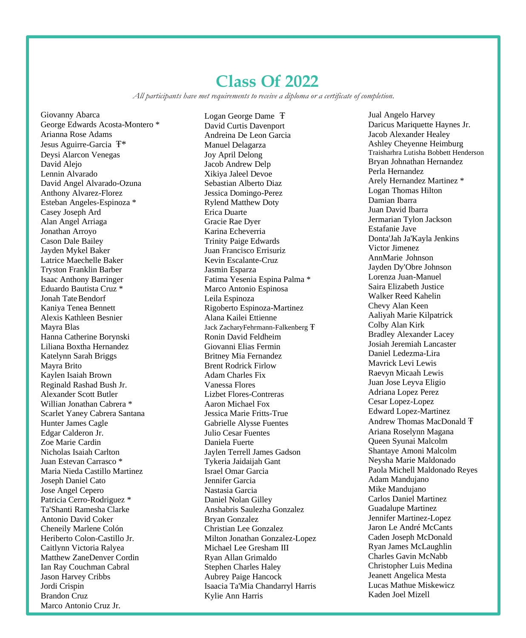## **Class Of 2022**

*All participants have met requirements to receive a diploma or a certificate of completion.*

Giovanny Abarca George Edwards Acosta-Montero \* Arianna Rose Adams Jesus Aguirre-Garcia Ŧ\* Deysi Alarcon Venegas David Alejo Lennin Alvarado David Angel Alvarado-Ozuna Anthony Alvarez-Florez Esteban Angeles-Espinoza \* Casey Joseph Ard Alan Angel Arriaga Jonathan Arroyo Cason Dale Bailey Jayden Mykel Baker Latrice Maechelle Baker Tryston Franklin Barber Isaac Anthony Barringer Eduardo Bautista Cruz \* Jonah TateBendorf Kaniya Tenea Bennett Alexis Kathleen Besnier Mayra Blas Hanna Catherine Borynski Liliana Boxtha Hernandez Katelynn Sarah Briggs Mayra Brito Kaylen Isaiah Brown Reginald Rashad Bush Jr. Alexander Scott Butler Willian Jonathan Cabrera \* Scarlet Yaney Cabrera Santana Hunter James Cagle Edgar Calderon Jr. Zoe Marie Cardin Nicholas Isaiah Carlton Juan Estevan Carrasco \* Maria Nieda Castillo Martinez Joseph Daniel Cato Jose Angel Cepero Patricia Cerro-Rodriguez \* Ta'Shanti Ramesha Clarke Antonio David Coker Cheneily Marlene Colón Heriberto Colon-Castillo Jr. Caitlynn Victoria Ralyea Matthew ZaneDenver Cordin Ian Ray Couchman Cabral Jason Harvey Cribbs Jordi Crispin Brandon Cruz Marco Antonio Cruz Jr.

Logan George Dame Ŧ David Curtis Davenport Andreina De Leon Garcia Manuel Delagarza Joy April Delong Jacob Andrew Delp Xikiya Jaleel Devoe Sebastian Alberto Diaz Jessica Domingo-Perez Rylend Matthew Doty Erica Duarte Gracie Rae Dyer Karina Echeverria Trinity Paige Edwards Juan Francisco Errisuriz Kevin Escalante-Cruz Jasmin Esparza Fatima Yesenia Espina Palma \* Marco Antonio Espinosa Leila Espinoza Rigoberto Espinoza-Martinez Alana Kailei Ettienne Jack ZacharyFehrmann-Falkenberg Ŧ Ronin David Feldheim Giovanni Elias Fermin Britney Mia Fernandez Brent Rodrick Firlow Adam Charles Fix Vanessa Flores Lizbet Flores-Contreras Aaron Michael Fox Jessica Marie Fritts-True Gabrielle Alysse Fuentes Julio Cesar Fuentes Daniela Fuerte Jaylen Terrell James Gadson Tykeria Jaidaijah Gant Israel Omar Garcia Jennifer Garcia Nastasia Garcia Daniel Nolan Gilley Anshabris Saulezha Gonzalez Bryan Gonzalez Christian Lee Gonzalez Milton Jonathan Gonzalez-Lopez Michael Lee Gresham III Ryan Allan Grimaldo Stephen Charles Haley Aubrey Paige Hancock Isaacia Ta'Mia Chandarryl Harris Kylie Ann Harris

Jual Angelo Harvey Daricus Mariquette Haynes Jr. Jacob Alexander Healey Ashley Cheyenne Heimburg Traisharhra Lutisha Bobbett Henderson Bryan Johnathan Hernandez Perla Hernandez Arely Hernandez Martinez \* Logan Thomas Hilton Damian Ibarra Juan David Ibarra Jermarian Tylon Jackson Estafanie Jave Donta'Jah Ja'Kayla Jenkins Victor Jimenez AnnMarie Johnson Jayden Dy'Obre Johnson Lorenza Juan-Manuel Saira Elizabeth Justice Walker Reed Kahelin Chevy Alan Keen Aaliyah Marie Kilpatrick Colby Alan Kirk Bradley Alexander Lacey Josiah Jeremiah Lancaster Daniel Ledezma-Lira Mavrick Levi Lewis Raevyn Micaah Lewis Juan Jose Leyva Eligio Adriana Lopez Perez Cesar Lopez-Lopez Edward Lopez-Martinez Andrew Thomas MacDonald Ŧ Ariana Roselynn Magana Queen Syunai Malcolm Shantaye Amoni Malcolm Neysha Marie Maldonado Paola Michell Maldonado Reyes Adam Mandujano Mike Mandujano Carlos Daniel Martinez Guadalupe Martinez Jennifer Martinez-Lopez Jaron Le André McCants Caden Joseph McDonald Ryan James McLaughlin Charles Gavin McNabb Christopher Luis Medina Jeanett Angelica Mesta Lucas Mathue Miskewicz Kaden Joel Mizell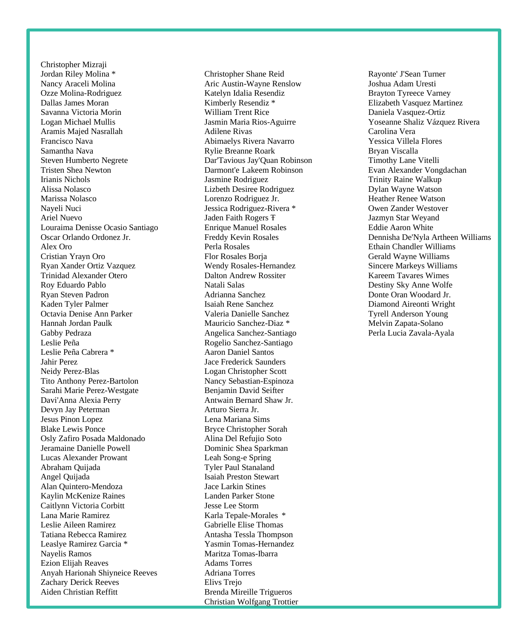Christopher Mizraji Jordan Riley Molina \* Nancy Araceli Molina Ozze Molina-Rodriguez Dallas James Moran Savanna Victoria Morin Logan Michael Mullis Aramis Majed Nasrallah Francisco Nava Samantha Nava Steven Humberto Negrete Tristen Shea Newton Irianis Nichols Alissa Nolasco Marissa Nolasco Nayeli Nuci Ariel Nuevo Louraima Denisse Ocasio Santiago Oscar Orlando Ordonez Jr. Alex Oro Cristian Yrayn Oro Ryan Xander Ortiz Vazquez Trinidad Alexander Otero Roy Eduardo Pablo Ryan Steven Padron Kaden Tyler Palmer Octavia Denise Ann Parker Hannah Jordan Paulk Gabby Pedraza Leslie Peña Leslie Peña Cabrera \* Jahir Perez Neidy Perez-Blas Tito Anthony Perez-Bartolon Sarahi Marie Perez-Westgate Davi'Anna Alexia Perry Devyn Jay Peterman Jesus Pinon Lopez Blake Lewis Ponce Osly Zafiro Posada Maldonado Jeramaine Danielle Powell Lucas Alexander Prowant Abraham Quijada Angel Quijada Alan Quintero-Mendoza Kaylin McKenize Raines Caitlynn Victoria Corbitt Lana Marie Ramirez Leslie Aileen Ramirez Tatiana Rebecca Ramirez Leaslye Ramirez Garcia \* Nayelis Ramos Ezion Elijah Reaves Anyah Harionah Shiyneice Reeves Zachary Derick Reeves Aiden Christian Reffitt

Christopher Shane Reid Aric Austin-Wayne Renslow Katelyn Idalia Resendiz Kimberly Resendiz \* William Trent Rice Jasmin Maria Rios-Aguirre Adilene Rivas Abimaelys Rivera Navarro Rylie Breanne Roark Dar'Tavious Jay'Quan Robinson Darmont'e Lakeem Robinson Jasmine Rodriguez Lizbeth Desiree Rodriguez Lorenzo Rodriguez Jr. Jessica Rodriguez-Rivera \* Jaden Faith Rogers Ŧ Enrique Manuel Rosales Freddy Kevin Rosales Perla Rosales Flor Rosales Borja Wendy Rosales-Hernandez Dalton Andrew Rossiter Natali Salas Adrianna Sanchez Isaiah Rene Sanchez Valeria Danielle Sanchez Mauricio Sanchez-Diaz \* Angelica Sanchez-Santiago Rogelio Sanchez-Santiago Aaron Daniel Santos Jace Frederick Saunders Logan Christopher Scott Nancy Sebastian-Espinoza Benjamin David Seifter Antwain Bernard Shaw Jr. Arturo Sierra Jr. Lena Mariana Sims Bryce Christopher Sorah Alina Del Refujio Soto Dominic Shea Sparkman Leah Song-e Spring Tyler Paul Stanaland Isaiah Preston Stewart Jace Larkin Stines Landen Parker Stone Jesse Lee Storm Karla Tepale-Morales \* Gabrielle Elise Thomas Antasha Tessla Thompson Yasmin Tomas-Hernandez Maritza Tomas-Ibarra Adams Torres Adriana Torres Elivs Trejo Brenda Mireille Trigueros Christian Wolfgang Trottier

Rayonte' J'Sean Turner Joshua Adam Uresti Brayton Tyreece Varney Elizabeth Vasquez Martinez Daniela Vasquez-Ortiz Yoseanne Shaliz Vázquez Rivera Carolina Vera Yessica Villela Flores Bryan Viscalla Timothy Lane Vitelli Evan Alexander Vongdachan Trinity Raine Walkup Dylan Wayne Watson Heather Renee Watson Owen Zander Westover Jazmyn Star Weyand Eddie Aaron White Dennisha De'Nyla Artheen Williams Ethain Chandler Williams Gerald Wayne Williams Sincere Markeys Williams Kareem Tavares Wimes Destiny Sky Anne Wolfe Donte Oran Woodard Jr. Diamond Aireonti Wright Tyrell Anderson Young Melvin Zapata-Solano Perla Lucia Zavala-Ayala